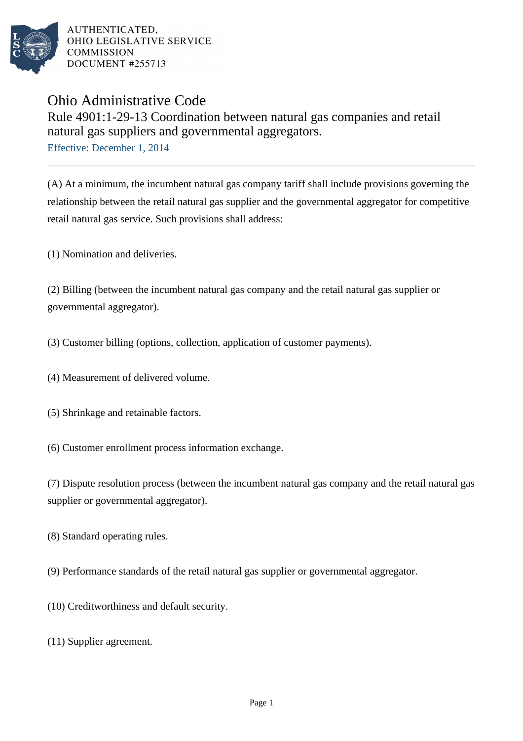

AUTHENTICATED. OHIO LEGISLATIVE SERVICE **COMMISSION** DOCUMENT #255713

## Ohio Administrative Code

Rule 4901:1-29-13 Coordination between natural gas companies and retail natural gas suppliers and governmental aggregators.

Effective: December 1, 2014

(A) At a minimum, the incumbent natural gas company tariff shall include provisions governing the relationship between the retail natural gas supplier and the governmental aggregator for competitive retail natural gas service. Such provisions shall address:

(1) Nomination and deliveries.

(2) Billing (between the incumbent natural gas company and the retail natural gas supplier or governmental aggregator).

(3) Customer billing (options, collection, application of customer payments).

- (4) Measurement of delivered volume.
- (5) Shrinkage and retainable factors.
- (6) Customer enrollment process information exchange.

(7) Dispute resolution process (between the incumbent natural gas company and the retail natural gas supplier or governmental aggregator).

- (8) Standard operating rules.
- (9) Performance standards of the retail natural gas supplier or governmental aggregator.
- (10) Creditworthiness and default security.
- (11) Supplier agreement.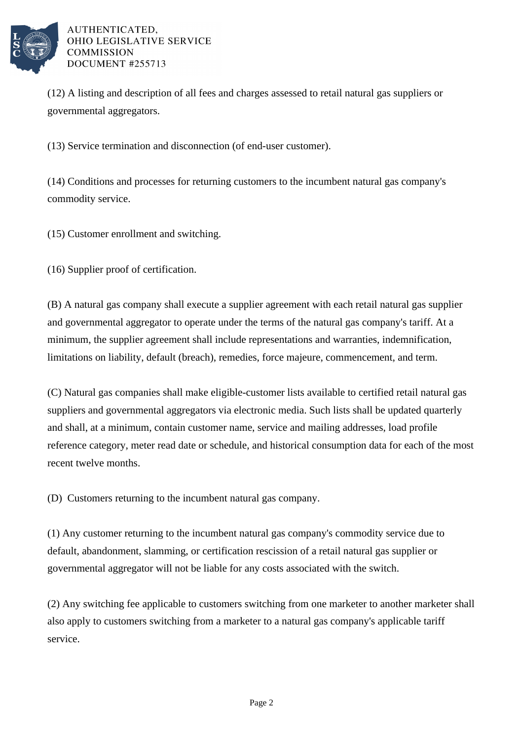

## AUTHENTICATED. OHIO LEGISLATIVE SERVICE **COMMISSION** DOCUMENT #255713

(12) A listing and description of all fees and charges assessed to retail natural gas suppliers or governmental aggregators.

(13) Service termination and disconnection (of end-user customer).

(14) Conditions and processes for returning customers to the incumbent natural gas company's commodity service.

(15) Customer enrollment and switching.

(16) Supplier proof of certification.

(B) A natural gas company shall execute a supplier agreement with each retail natural gas supplier and governmental aggregator to operate under the terms of the natural gas company's tariff. At a minimum, the supplier agreement shall include representations and warranties, indemnification, limitations on liability, default (breach), remedies, force majeure, commencement, and term.

(C) Natural gas companies shall make eligible-customer lists available to certified retail natural gas suppliers and governmental aggregators via electronic media. Such lists shall be updated quarterly and shall, at a minimum, contain customer name, service and mailing addresses, load profile reference category, meter read date or schedule, and historical consumption data for each of the most recent twelve months.

(D) Customers returning to the incumbent natural gas company.

(1) Any customer returning to the incumbent natural gas company's commodity service due to default, abandonment, slamming, or certification rescission of a retail natural gas supplier or governmental aggregator will not be liable for any costs associated with the switch.

(2) Any switching fee applicable to customers switching from one marketer to another marketer shall also apply to customers switching from a marketer to a natural gas company's applicable tariff service.